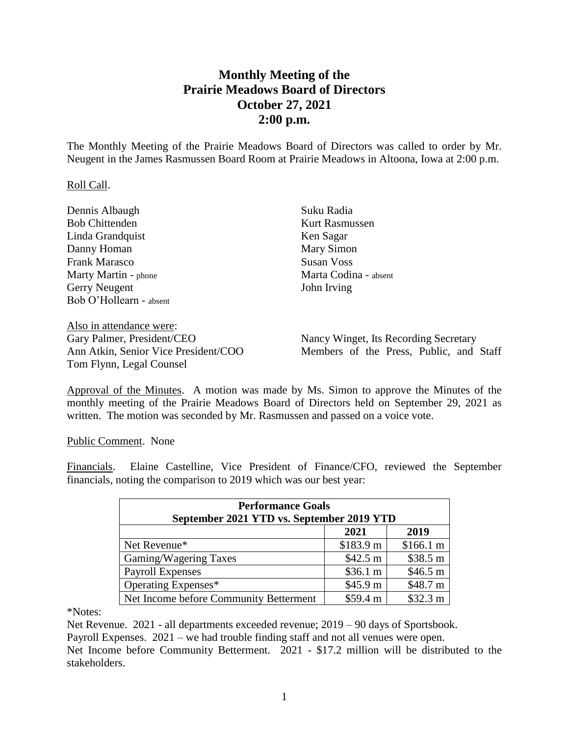## **Monthly Meeting of the Prairie Meadows Board of Directors October 27, 2021 2:00 p.m.**

The Monthly Meeting of the Prairie Meadows Board of Directors was called to order by Mr. Neugent in the James Rasmussen Board Room at Prairie Meadows in Altoona, Iowa at 2:00 p.m.

## Roll Call.

| Dennis Albaugh                 | Suku Radia                   |  |
|--------------------------------|------------------------------|--|
| <b>Bob Chittenden</b>          | <b>Kurt Rasmussen</b>        |  |
| Linda Grandquist               | Ken Sagar                    |  |
| Danny Homan                    | Mary Simon                   |  |
| <b>Frank Marasco</b>           | <b>Susan Voss</b>            |  |
| Marty Martin - phone           | Marta Codina - absent        |  |
| <b>Gerry Neugent</b>           | John Irving                  |  |
| Bob O'Hollearn - absent        |                              |  |
| Also in attendance were:       |                              |  |
| $G0ry$ Dolmar Drasidant/ $CFO$ | Nancy Wingst Its Recording C |  |

Gary Palmer, President/CEO Ann Atkin, Senior Vice President/COO Tom Flynn, Legal Counsel

Nancy Winget, Its Recording Secretary Members of the Press, Public, and Staff

Approval of the Minutes. A motion was made by Ms. Simon to approve the Minutes of the monthly meeting of the Prairie Meadows Board of Directors held on September 29, 2021 as written. The motion was seconded by Mr. Rasmussen and passed on a voice vote.

Public Comment. None

Financials. Elaine Castelline, Vice President of Finance/CFO, reviewed the September financials, noting the comparison to 2019 which was our best year:

| <b>Performance Goals</b><br>September 2021 YTD vs. September 2019 YTD |           |           |  |
|-----------------------------------------------------------------------|-----------|-----------|--|
|                                                                       | 2021      | 2019      |  |
| Net Revenue*                                                          | \$183.9 m | \$166.1 m |  |
| Gaming/Wagering Taxes                                                 | \$42.5 m  | \$38.5 m  |  |
| <b>Payroll Expenses</b>                                               | \$36.1 m  | \$46.5 m  |  |
| Operating Expenses*                                                   | \$45.9 m  | \$48.7 m  |  |
| Net Income before Community Betterment                                | \$59.4 m  | \$32.3 m  |  |

\*Notes:

Net Revenue. 2021 - all departments exceeded revenue; 2019 – 90 days of Sportsbook.

Payroll Expenses. 2021 – we had trouble finding staff and not all venues were open.

Net Income before Community Betterment. 2021 - \$17.2 million will be distributed to the stakeholders.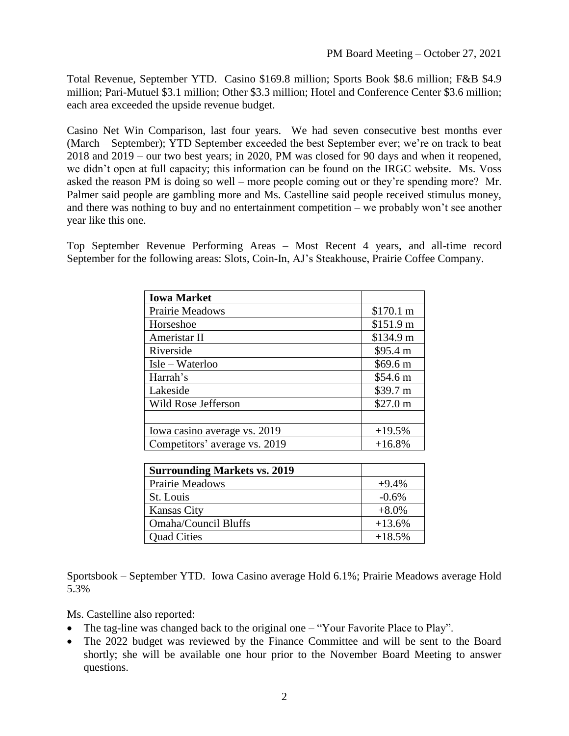Total Revenue, September YTD. Casino \$169.8 million; Sports Book \$8.6 million; F&B \$4.9 million; Pari-Mutuel \$3.1 million; Other \$3.3 million; Hotel and Conference Center \$3.6 million; each area exceeded the upside revenue budget.

Casino Net Win Comparison, last four years. We had seven consecutive best months ever (March – September); YTD September exceeded the best September ever; we're on track to beat 2018 and 2019 – our two best years; in 2020, PM was closed for 90 days and when it reopened, we didn't open at full capacity; this information can be found on the IRGC website. Ms. Voss asked the reason PM is doing so well – more people coming out or they're spending more? Mr. Palmer said people are gambling more and Ms. Castelline said people received stimulus money, and there was nothing to buy and no entertainment competition – we probably won't see another year like this one.

Top September Revenue Performing Areas – Most Recent 4 years, and all-time record September for the following areas: Slots, Coin-In, AJ's Steakhouse, Prairie Coffee Company.

| <b>Iowa Market</b>            |           |
|-------------------------------|-----------|
| Prairie Meadows               | \$170.1 m |
| Horseshoe                     | \$151.9 m |
| Ameristar II                  | \$134.9 m |
| Riverside                     | \$95.4 m  |
| Isle – Waterloo               | \$69.6 m  |
| Harrah's                      | \$54.6 m  |
| Lakeside                      | \$39.7 m  |
| Wild Rose Jefferson           | \$27.0 m  |
|                               |           |
| Iowa casino average vs. 2019  | $+19.5%$  |
| Competitors' average vs. 2019 | $+16.8%$  |

| <b>Surrounding Markets vs. 2019</b> |          |
|-------------------------------------|----------|
| Prairie Meadows                     | $+9.4\%$ |
| St. Louis                           | $-0.6%$  |
| <b>Kansas City</b>                  | $+8.0\%$ |
| <b>Omaha/Council Bluffs</b>         | $+13.6%$ |
| <b>Quad Cities</b>                  | $+18.5%$ |

Sportsbook – September YTD. Iowa Casino average Hold 6.1%; Prairie Meadows average Hold 5.3%

Ms. Castelline also reported:

- The tag-line was changed back to the original one "Your Favorite Place to Play".
- The 2022 budget was reviewed by the Finance Committee and will be sent to the Board shortly; she will be available one hour prior to the November Board Meeting to answer questions.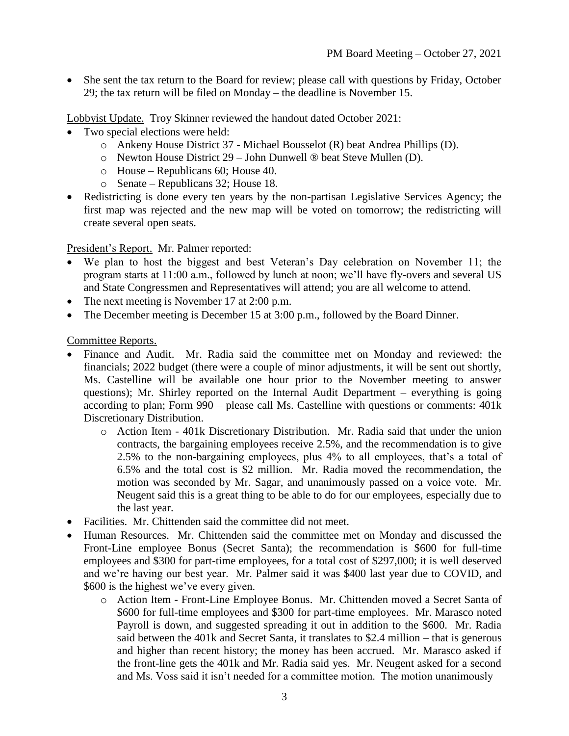• She sent the tax return to the Board for review; please call with questions by Friday, October 29; the tax return will be filed on Monday – the deadline is November 15.

Lobbyist Update. Troy Skinner reviewed the handout dated October 2021:

- Two special elections were held:
	- o Ankeny House District 37 Michael Bousselot (R) beat Andrea Phillips (D).
	- o Newton House District 29 John Dunwell ® beat Steve Mullen (D).
	- o House Republicans 60; House 40.
	- o Senate Republicans 32; House 18.
- Redistricting is done every ten years by the non-partisan Legislative Services Agency; the first map was rejected and the new map will be voted on tomorrow; the redistricting will create several open seats.

President's Report. Mr. Palmer reported:

- We plan to host the biggest and best Veteran's Day celebration on November 11; the program starts at 11:00 a.m., followed by lunch at noon; we'll have fly-overs and several US and State Congressmen and Representatives will attend; you are all welcome to attend.
- The next meeting is November 17 at 2:00 p.m.
- The December meeting is December 15 at 3:00 p.m., followed by the Board Dinner.

Committee Reports.

- Finance and Audit. Mr. Radia said the committee met on Monday and reviewed: the financials; 2022 budget (there were a couple of minor adjustments, it will be sent out shortly, Ms. Castelline will be available one hour prior to the November meeting to answer questions); Mr. Shirley reported on the Internal Audit Department – everything is going according to plan; Form 990 – please call Ms. Castelline with questions or comments: 401k Discretionary Distribution.
	- o Action Item 401k Discretionary Distribution. Mr. Radia said that under the union contracts, the bargaining employees receive 2.5%, and the recommendation is to give 2.5% to the non-bargaining employees, plus 4% to all employees, that's a total of 6.5% and the total cost is \$2 million. Mr. Radia moved the recommendation, the motion was seconded by Mr. Sagar, and unanimously passed on a voice vote. Mr. Neugent said this is a great thing to be able to do for our employees, especially due to the last year.
- Facilities. Mr. Chittenden said the committee did not meet.
- Human Resources. Mr. Chittenden said the committee met on Monday and discussed the Front-Line employee Bonus (Secret Santa); the recommendation is \$600 for full-time employees and \$300 for part-time employees, for a total cost of \$297,000; it is well deserved and we're having our best year. Mr. Palmer said it was \$400 last year due to COVID, and \$600 is the highest we've every given.
	- o Action Item Front-Line Employee Bonus. Mr. Chittenden moved a Secret Santa of \$600 for full-time employees and \$300 for part-time employees. Mr. Marasco noted Payroll is down, and suggested spreading it out in addition to the \$600. Mr. Radia said between the 401k and Secret Santa, it translates to \$2.4 million – that is generous and higher than recent history; the money has been accrued. Mr. Marasco asked if the front-line gets the 401k and Mr. Radia said yes. Mr. Neugent asked for a second and Ms. Voss said it isn't needed for a committee motion. The motion unanimously